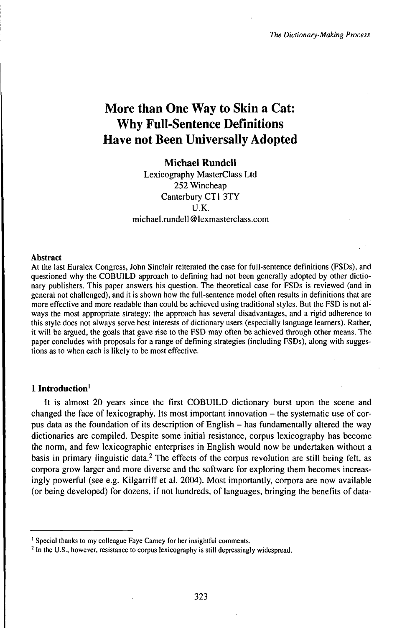# More than One Way to Skin a Cat: Why Full-Sentence Definitions Have not Been Universally Adopted

# **Michael Rundell**

Lexicography MasterClass Ltd 252 Wincheap Canterbury CT1 3TY U.K. michael.rundell@lexmasterclass.com

#### Abstract

At the last Euralex Congress, John Sinclair reiterated the case for full-sentence definitions (FSDs), and questioned why the COBUlLD approach to defining had not been generally adopted by other dictionary publishers. This paper answers his question. The theoretical case for FSDs is reviewed (and in general not challenged), and it is shown how the full-sentence model often results in definitions that are more effective and more readable than could be achieved using traditional styles. But the FSD is not always the most appropriate strategy: the approach has several disadvantages, and a rigid adherence to this style does not always serve best interests of dictionary users (especially language learners). Rather, it will be argued, the goals that gave rise to the FSD may often be achieved through other means. The paper concludes with proposals for a range of defining strategies (including FSDs), along with suggestions as to when each is likely to be most effective.

# **1 Introduction<sup>1</sup>**

It is almost 20 years since the first COBUILD dictionary burst upon the scene and changed the face of lexicography. Its most important innovation - the systematic use of corpus data as the foundation of its description of English – has fundamentally altered the way dictionaries are compiled. Despite some initial resistance, corpus lexicography has become the norm, and few lexicographic enterprises in English would now be undertaken without a basis in primary linguistic data.<sup>2</sup> The effects of the corpus revolution are still being felt, as corpora grow larger and more diverse and the software for exploring them becomes increasingly powerful (see e.g. Kilgarriff et al. 2004). Most importantly, corpora are now available (or being developed) for dozens, if not hundreds, of languages, bringing the benefits of data-

<sup>&#</sup>x27; Special thanks to my colleague Faye Carney for her insightful comments.

<sup>&</sup>lt;sup>2</sup> In the U.S., however, resistance to corpus lexicography is still depressingly widespread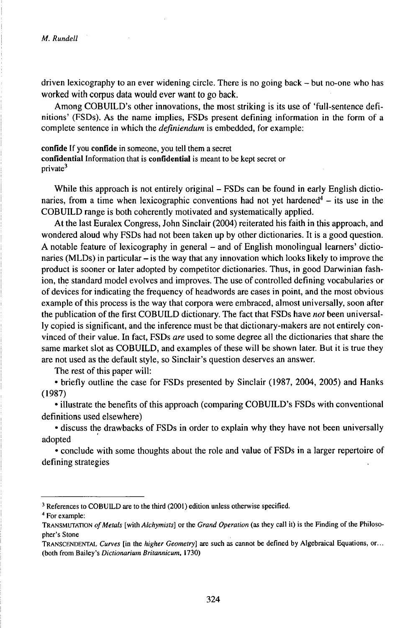driven lexicography to an ever widening circle. There is no going back - but no-one who has worked with corpus data would ever want to go back.

Among COBUILD's other innovations, the most striking is its use of 'full-sentence definitions' (FSDs). As the name implies, FSDs present defining information in the form of a complete sentence in which the *definiendum* is embedded, for example:

# confide If you confide in someone, you tell them a secret

confidential Information that is confidential is meant to be kept secret or private<sup>3</sup>

While this approach is not entirely original – FSDs can be found in early English dictionaries, from a time when lexicographic conventions had not yet hardened<sup>4</sup> – its use in the COBUILD range is both coherently motivated and systematically applied.

At the last Euralex Congress, John Sinclair (2004) reiterated his faith in this approach, and wondered aloud why FSDs had not been taken up by other dictionaries. It is a good question. A notable feature of lexicography in general - and of English monolingual learners' dictionaries (MLDs) in particular – is the way that any innovation which looks likely to improve the product is sooner or later adopted by competitor dictionaries. Thus, in good Darwinian fashion, the standard model evolves and improves. The use of controlled defining vocabularies or of devices for indicating the frequency of headwords are cases in point, and the most obvious example of this process is the way that corpora were embraced, almost universally, soon after the publication of the first COBUŁD dictionary. The fact that FSDs have *not* been universally copied is significant, and the inference must be that dictionary-makers are not entirely convinced of their value. In fact, FSDs *are* used to some degree all the dictionaries that share the same market slot as COBUILD, and examples of these will be shown later. But it is true they are not used as the default style, so Sinclair's question deserves an answer.

The rest of this paper will:

• briefly outline the case for FSDs presented by Sinclair (1987, 2004, 2005) and Hanks (1987)

• illustrate the benefits of this approach (comparing COBUILD's FSDs with conventional definitions used elsewhere)

• discuss the drawbacks of FSDs in order to explain why they have not been universally adopted

• conclude with some thoughts about the role and value of FSDs in a larger repertoire of defining strategies

<sup>3</sup> References to COBUILD are to the third (2001) edition unless otherwise specified.

<sup>4</sup> For example:

TRANSMUTATION *ofMetals* [with *Alchymists]* or the *Grand Operation* (as they call it) is the Finding of the Philosopher's Stone

TRANSCENDENTAL *Curves* [in the *higher Geometry]* are such as cannot be defined by Algebraical Equations, or... (both from Bailey's *Dictionarium Britannicum,* 1730)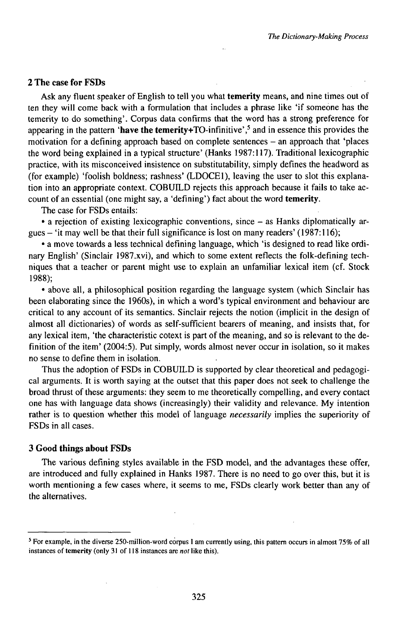# **2ThecaseforFSDs**

Ask any fluent speaker of English to tell you what **temerity** means, and nine times out of ten they will come back with a formulation that includes a phrase like 'if someone has the temerity to do something'. Corpus data confirms that the word has a strong preference for appearing in the pattern **'have the temerity+TO-infinitive',<sup>5</sup>** and in essence this provides the motivation for a defining approach based on complete sentences – an approach that 'places the word being explained in a typical structure' (Hanks 1987:117). Traditional lexicographic practice, with its misconceived insistence on substitutability, simply defines the headword as (for example) 'foolish boldness; rashness' (LDOCEl), leaving the user to slot this explanation into an appropriate context. COBUľLD rejects this approach because it fails to take account of an essential (one might say, a 'defining') fact about the word **temerity**.

The case for FSDs entails:

 $\bullet$  a rejection of existing lexicographic conventions, since  $-$  as Hanks diplomatically argues  $-$  'it may well be that their full significance is lost on many readers' (1987:116);

• a move towards a less technical defining language, which 'is designed to read like ordinary English' (Sinclair 1987.xvi), and which to some extent reflects the folk-defining techniques that a teacher or parent might use to explain an unfamiliar lexical item (cf. Stock 1988);

• above all, a philosophical position regarding the language system (which Sinclair has been elaborating since the 1960s), in which a word's typical environment and behaviour are critical to any account of its semantics. Sinclair rejects the notion (implicit in the design of almost all dictionaries) of words as self-sufficient bearers of meaning, and insists that, for any lexical item, 'the characteristic cotext is part of the meaning, and so is relevant to the definition of the item' (2004:5). Put simply, words almost never occur in isolation, so it makes no sense to define them in isolation.

Thus the adoption of FSDs in COBUILD is supported by clear theoretical and pedagogical arguments. It is worth saying at the outset that this paper does not seek to challenge the broad thrust of these arguments: they seem to me theoretically compelling, and every contact one has with language data shows (increasingly) their validity and relevance. My intention rather is to question whether this model of language *necessarily* implies the superiority of FSDs in all cases.

#### **3 Good things about FSDs**

The various defining styles available in the FSD model, and the advantages these offer, are introduced and fully explained in Hanks 1987. There is no need to go over this, but it is worth mentioning a few cases where, it seems to me, FSDs clearly work better than any of the alternatives.

<sup>&</sup>lt;sup>5</sup> For example, in the diverse 250-million-word corpus I am currently using, this pattern occurs in almost 75% of all instances of temerity (only 31 of 118 instances are *not* like this).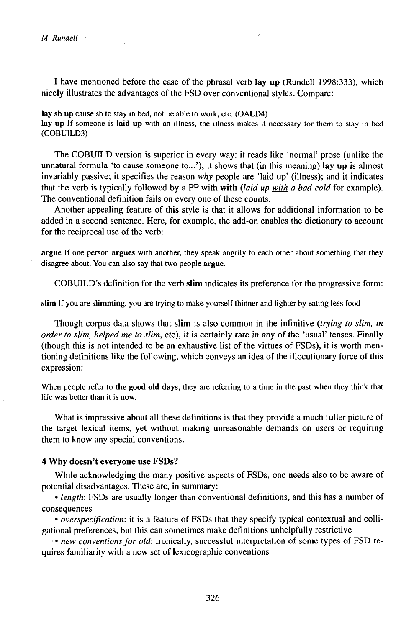I have mentioned before the case of the phrasal verb lay up (Rundell 1998:333), which nicely illustrates the advantages of the FSD over conventional styles. Compare:

lay sb up cause sb to stay in bed, not be able to work, etc. (OALD4) lay up If someone is laid up with an illness, the illness makes it necessary for them to stay in bed (COBUILD3)

The COBUILD version is superior in every way: it reads like 'normal' prose (unlike the unnatural formula 'to cause someone to...'); it shows that (in this meaning) **lay** up is almost invariably passive; it specifies the reason *why* people are 'laid up' (illness); and it indicates that the verb is typically followed by a PP with **with** *(laid up with a bad cold* for example). The conventional definition fails on every one of these counts.

Another appealing feature of this style is that it allows for additional information to be added in a second sentence. Here, for example, the add-on enables the dictionary to account for the reciprocal use of the verb:

argue If one person argues with another, they speak angrily to each other about something that they disagree about. You can also say that two people argue.

COBUILD's definition for the verb **slim** indicates its preference for the progressive form:

slim If you are **slimming,** you are trying to make yourself thinner and lighter by eating less food

Though corpus data shows that **slim** is also common in the infinitive *(trying to slim, in order to slim, helped me to slim,* etc), it is certainly rare in any of the 'usual' tenses. Finally (though this is not intended to be an exhaustive list of the virtues of FSDs), it is worth mentioning definitions like the following, which conveys an idea of the illocutionary force of this expression:

When people refer to the good old days, they are referring to a time in the past when they think that life was better than it is now.

What is impressive about all these definitions is that they provide a much fuller picture of the target lexical items, yet without making unreasonable demands on users or requiring them to know any special conventions.

## 4 **Why doesn't** everyone use FSDs?

While acknowledging the many positive aspects of FSDs, one needs also to be aware of potential disadvantages. These are, in summary:

• *length:* FSDs are usually longer than conventional definitions, and this has a number of consequences

• *overspecification:* it is a feature of FSDs that they specify typical contextual and colligational preferences, but this can sometimes make definitions unhelpfully restrictive

• *new conventions for old:* ironically, successful interpretation of some types of FSD requires familiarity with a new set of lexicographic conventions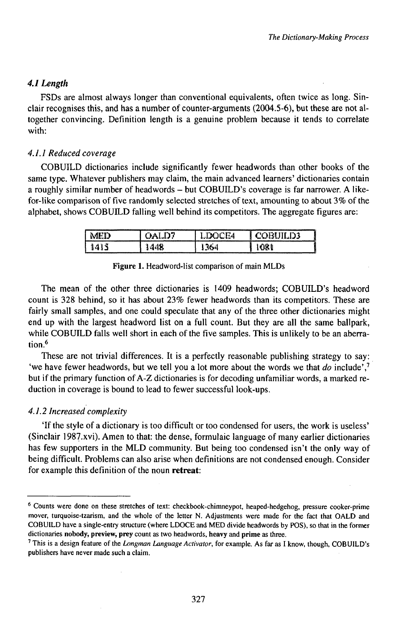# *4.1 Length*

FSDs are almost always longer than conventional equivalents, often twice as long. Sinclair recognises this, and has a number of counter-arguments (2004.5-6), but these are not altogether convincing. Definition length is a genuine problem because it tends to correlate with:

# *4.1.1 Reduced coverage*

COBUILD dictionaries include significantly fewer headwords than other books of the same type. Whatever publishers may claim, the main advanced learners' dictionaries contain <sup>a</sup> roughly similar number of headwords - but COBUILD's coverage is far narrower. <sup>A</sup> likefor-like comparison of five randomly selected stretches of text, amounting to about  $3\%$  of the alphabet, shows COBUILD falling well behind its competitors. The aggregate figures are:

| . | - 111<br>-            |              | <b>175.A</b> |
|---|-----------------------|--------------|--------------|
|   | --------------------- | . .<br>_____ |              |

**Figure 1.** Headword-list comparison of main MLDs

The mean of the other three dictionaries is 1409 headwords; COBUILD's headword count is 328 behind, so it has about 23% fewer headwords than its competitors. These are fairly small samples, and one could speculate that any of the three other dictionaries might end up with the largest headword list on a full count. But they are all the same ballpark, while COBUILD falls well short in each of the five samples. This is unlikely to be an aberration.<sup>6</sup>

These are not trivial differences. It is a perfectly reasonable publishing strategy to say: 'we have fewer headwords, but we tell you a lot more about the words we that *do* include',<sup>7</sup> but if the primary function of A-Z dictionaries is for decoding unfamiliar words, a marked reduction in coverage is bound to lead to fewer successful look-ups.

# *4.1.2 Increased complexity*

'If the style of a dictionary is too difficult or too condensed for users, the work is useless' (Sinclair 1987.xvi). Amen to that: the dense, formulaic language of many earlier dictionaries has few supporters in the MLD community. But being too condensed isn't the only way of being difficult. Problems can also arise when definitions are not condensed enough. Consider for example this definition of the noun **retreat:**

<sup>6</sup> Counts were done on these stretches of text: checkbook-chimneypot, heaped-hedgehog, pressure cooker-prime mover, turquoise-tzarism, and the whole of the letter N. Adjustments were made for the fact that OALD and COBUILD have a single-entry structure (where LDOCE and MED divide headwords by POS), so that in the former dictionaries **nobody, preview, prey** count as two headwords, **heavy** and **prime** as three.

<sup>7</sup> This is a design feature of the *Longman Language Activator,* for example. As far as <sup>I</sup> know, though, COBUILD's publishers have never made such a claim.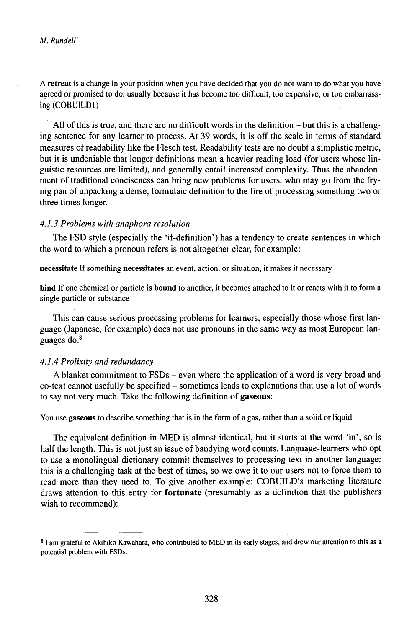A **retreat** is a change in your position when you have decided that you do not want to do what you have agreed or promised to do, usually because it has become too difficult, too expensive, or too embarrassing(COBUILDl)

All of this is true, and there are no difficult words in the definition – but this is a challenging sentence for any learner to process. At 39 words, it is off the scale in terms of standard measures ofreadability like the Flesch test. Readability tests are no doubt a simplistic metric, but it is undeniable that longer definitions mean a heavier reading load (for users whose linguistic resources are limited), and generally entail increased complexity. Thus the abandonment of traditional conciseness can bring new problems for users, who may go from the frying pan of unpacking a dense, formulaic definition to the fire of processing something two or three times longer.

## *4.1.3 Problems with anaphora resolution*

The FSD style (especially the 'if-definition') has a tendency to create sentences in which the word to which a pronoun refers is not altogether clear, for example:

necessitate If something necessitates an event, action, or situation, it makes it necessary

**bind** If one chemical or particle **is bound** to another, it becomes attached to it or reacts with it to form a single particle or substance

This can cause serious processing problems for learners, especially those whose first language (Japanese, for example) does not use pronouns in the same way as most European languages do.<sup>8</sup>

#### *4.1.4 Prolixity and redundancy*

<sup>A</sup> blanket commitment to FSDs - even where the application of <sup>a</sup> word is very broad and co-text cannot usefully be specified - sometimes leads to explanations that use <sup>a</sup> lot of words to say not very much. Take the following definition of gaseous:

You use gaseous to describe something that is in the form of a gas, rather than a solid or liquid

The equivalent definition in MED is almost identical, but it starts at the word 'in', so is half the length. This is not just an issue of bandying word counts. Language-learners who opt to use a monolingual dictionary commit themselves to processing text in another language: this is a challenging task at the best of times, so we owe it to our users not to force them to read more than they need to. To give another example: COBUILD's marketing literature draws attention to this entry for **fortunate** (presumably as a definition that the publishers wish to recommend):

<sup>&</sup>lt;sup>8</sup> I am grateful to Akihiko Kawahara, who contributed to MED in its early stages, and drew our attention to this as a potential problem with FSDs.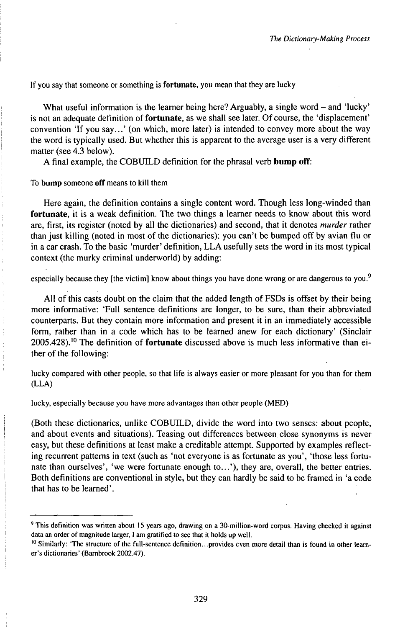If you say that someone or something is fortunate, you mean that they are lucky

What useful information is the learner being here? Arguably, a single word  $-$  and 'lucky' is not an adequate definition of fortunate, as we shall see later. Of course, the 'displacement' convention 'Ifyou say...' (on which, more later) is intended to convey more about the way the word is typically used. But whether this is apparent to the average user is a very different matter (see 4.3 below).

A final example, the COBUILD definition for the phrasal verb **bump off:**

To bump someone off means to kill them

Here again, the definition contains a single content word. Though less long-winded than **fortunate,** it is a weak definition. The two things a learner needs to know about this word are, first, its register (noted by all the dictionaries) and second, that it denotes *murder* rather than just killing (noted in most of the dictionaries): you can't be bumped off by avian flu or in a car crash. To the basic 'murder' definition, LLA usefully sets the word in its most typical context (the murky criminal underworld) by adding:

especially because they [the victim] know about things you have done wrong or are dangerous to you.<sup>9</sup>

All of this casts doubt on the claim that the added length of FSDs is offset by their being more informative: 'Full sentence definitions are longer, to be sure, than their abbreviated counterparts. But they contain more information and present it in an immediately accessible form, rather than in a code which has to be learned anew for each dictionary' (Sinclair 2005.428).<sup>10</sup> The definition of fortunate discussed above is much less informative than either of the following:

lucky compared with other people, so that life is always easier or more pleasant for you than for them (LLA)

lucky, especially because you have more advantages than other people (MED)

(Both these dictionaries, unlike COBUILD, divide the word into two senses: about people, and about events and situations). Teasing out differences between close synonyms is never easy, but these definitions at least make a creditable attempt. Supported by examples reflecting recurrent patterns in text (such as 'not everyone is as fortunate as you', 'those less fortunate than ourselves', 'we were fortunate enough to...'), they are, overall, the better entries. Both definitions are conventional in style, but they can hardly be said to be framed in 'a code that has to be learned'.

<sup>&</sup>lt;sup>9</sup> This definition was written about 15 years ago, drawing on a 30-million-word corpus. Having checked it against data an order of magnitude larger, <sup>I</sup> am gratified to see that it holds up well.

 $10$  Similarly: 'The structure of the full-sentence definition...provides even more detail than is found in other learner's dictionaries' (Barnbrook 2002.47).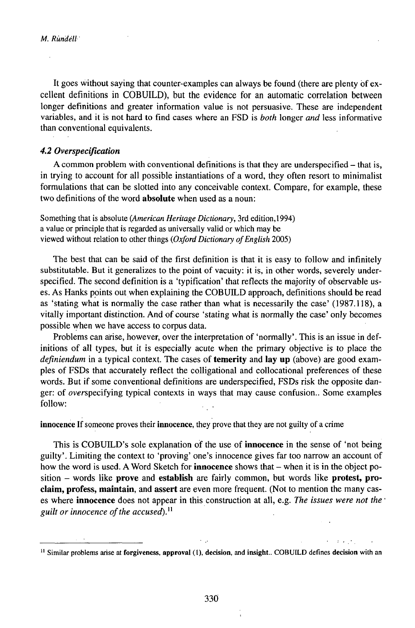It goes without saying that counter-examples can always be found (there are plenty òf excellent definitions in COBUILD), but the evidence for an automatic correlation between longer definitions and greater information value is not persuasive. These are independent variables, and it is not hard to find cases where an FSD is *both* longer *and* less informative than conventional equivalents.

# *4.2 Overspecification*

A common problem with conventional definitions is that they are underspecified  $-$  that is, in trying to account for all possible instantiations of a word, they often resort to minimalist formulations that can be slotted into any conceivable context. Compare, for example, these two definitions of the word **absolute** when used as a noun:

Something that is absolute *(American Heritage Dictionary,* 3rd edition,1994) a value or principle that is regarded as universally valid or which may be viewed without relation to other things *(Oxford Dictionary of English* 2005)

The best that can be said of the first definition is that it is easy to follow and infinitely substitutable. But it generalizes to the point of vacuity: it is, in other words, severely underspecified. The second definition is a 'typification' that reflects the majority of observable uses. As Hanks points outwhen explaining the COBUILD approach, definitions should be read as 'stating what is normally the case rather than what is necessarily the case' (1987.118), a vitally important distinction. And of course 'stating what is normally the case' only becomes possible when we have access to corpus data.

Problems can arise, however, over the interpretation of 'normally'. This is an issue in definitions of all types, but it is especially acute when the primary objective is to place the *definiendum* in a typical context. The cases of **temerity** and **lay up** (above) are good examples of FSDs that accurately reflect the colligational and collocational preferences of these words. But if some conventional definitions are underspecified, FSDs risk the opposite danger: of overspecifying typical contexts in ways that may cause confusion.. Some examples follow: . .

innocence If someone proves their innocence, they prove that they are not guilty of a crime

This is COBUILD's sole explanation of the use of **innocence** in the sense of 'not being guilty'. Limiting the context to 'proving' one's innocence gives far too narrow an account of how the word is used. A Word Sketch for **innocence** shows that - when it is in the object position - words like **prove** and **establish** are fairly common, but words like **protest, proclaim, profess, maintain,** and **assert** are even more frequent. (Not to mention the many cases where **innocence** does not appear in this construction at all, e.g. *The issues were not the* • *guilt or innocence of the accused*).<sup>11</sup>

<sup>11</sup> Similar problems arise at **forgiveness, approval (1), decision, and insight.** COBUILD defines **decision** with an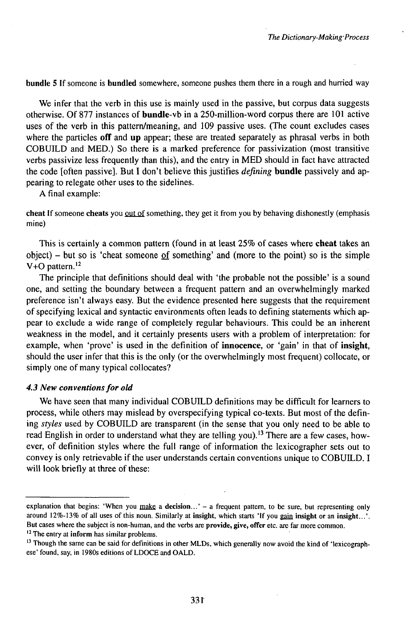bundle 5 If someone is bundled somewhere, someone pushes them there in a rough and hurried way

We infer that the verb in this use is mainly used in the passive, but corpus data suggests otherwise. Of 877 instances **ofbundle-vb** in a 250-million-word corpus there are 101 active uses of the verb in this pattern/meaning, and 109 passive uses. (The count excludes cases where the particles **off** and up appear; these are treated separately as phrasal verbs in both COBUILD and MED.) So there is a marked preference for passivization (most transitive verbs passivize less frequently than this), and the entry in MED should in fact have attracted the code [often passive]. But I don't believe this justifies *defining* **bundle** passively and appearing to relegate other uses to the sidelines.

A final example:

cheat If someone cheats you out of something, they get it from you by behaving dishonestly (emphasis mine)

This is certainly a common pattern (found in at least 25% of cases where **cheat** takes an object) - but so is 'cheat someone of something' and (more to the point) so is the simple  $V+O$  pattern.<sup>12</sup>

The principle that definitions should deal with 'the probable not the possible' is a sound one, and setting the boundary between a frequent pattern and an overwhelmingly marked preference isn't always easy. But the evidence presented here suggests that the requirement ofspecifying lexical and syntactic environments often leads to defining statements which appear to exclude a wide range of completely regular behaviours. This could be an inherent weakness in the model, and it certainly presents users with a problem of interpretation: for example, when 'prove' is used in the definition of innocence, or 'gain' in that of **insight,** should the user infer that this is the only (or the overwhelmingly most frequent) collocate, or simply one of many typical collocates?

# *4.3 New conventionsfor old*

We have seen that many individual COBUILD definitions may be difficult for learners to process, while others may mislead by overspecifying typical co-texts. But most of the defining *styles* used by COBUILD are transparent (in the sense that you only need to be able to read English in order to understand what they are telling you).<sup>13</sup> There are a few cases, however, of definition styles where the full range of information the lexicographer sets out to convey is only retrievable if the user understands certain conventions unique to COBUJLD. I will look briefly at three of these:

explanation that begins: 'When you  $_{\text{make}}$  a decision...' – a frequent pattern, to be sure, but representing only around 12%-13% of all uses of this noun. Similarly at **insight,** which starts 'If you gain **insight** or an **insight...'.** But cases where the subject is non-human, and the verbs are **provide, give, offer** etc. are far more common. <sup>12</sup> The entry at **inform** has similar problems.

<sup>&</sup>lt;sup>13</sup> Though the same can be said for definitions in other MLDs, which generally now avoid the kind of 'lexicographese' found, say, in 1980s editions ofLDOCE and OALD.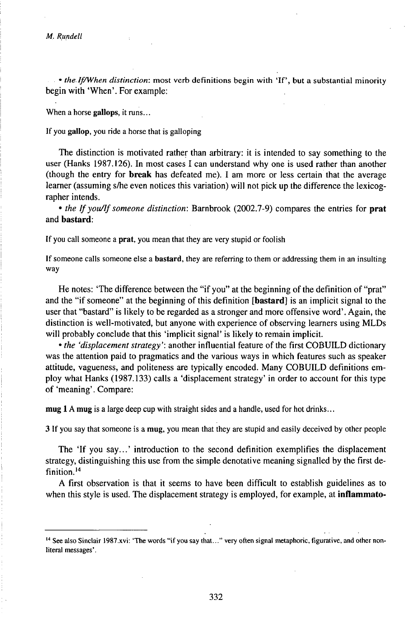• *• the If/When distinction*: most verb definitions begin with 'If', but a substantial minority begin with 'When'. For example:

When a horse gallops, it runs...

If you gallop, you ride a horse that is galloping

The distinction is motivated rather than arbitrary: it is intended to say something to the user (Hanks 1987.126). In most cases I can understand why one is used rather than another (though the entry for **break** has defeated me). I am more or less certain that the average learner (assuming s/he even notices this variation) will not pick up the difference the lexicographer intends.

• *the If you/If someone distinction*: Barnbrook (2002.7-9) compares the entries for **prat** and **bastard:**

If you call someone a **prat,** you mean that they are very stupid or foolish

If someone calls someone else a bastard, they are referring to them or addressing them in an insulting way

He notes: 'The difference between the "if you" at the beginning of the definition of "prat" and the "if someone" at the beginning of this definition [bastard] is an implicit signal to the user that "bastard" is likely to be regarded as a stronger and more offensive word'. Again, the distinction is well-motivated, but anyone with experience of observing learners using MLDs will probably conclude that this 'implicit signal' is likely to remain implicit.

• *the 'displacement strategy':* another influential feature of the first COBUILD dictionary was the attention paid to pragmatics and the various ways in which features such as speaker attitude, vagueness, and politeness are typically encoded. Many COBUILD definitions employ what Hanks (1987.133) calls a 'displacement strategy' in order to account for this type of 'meaning'. Compare:

**mug** 1A **mug** is <sup>a</sup> large deep cup with straight sides and <sup>a</sup> handle, used for hot drinks...

3 If you say that someone is a **mug,** you mean that they are stupid and easily deceived by other people

The Tf you say...' introduction to the second definition exemplifies the displacement strategy, distinguishing this use from the simple denotative meaning signalled by the first definition.<sup>14</sup>

A first observation is that it seems to have been difficult to establish guidelines as to when this style is used. The displacement strategy is employed, for example, at **inflammato-**

 $14$  See also Sinclair 1987.xvi: 'The words "if you say that..." very often signal metaphoric, figurative, and other nonliteral messages'.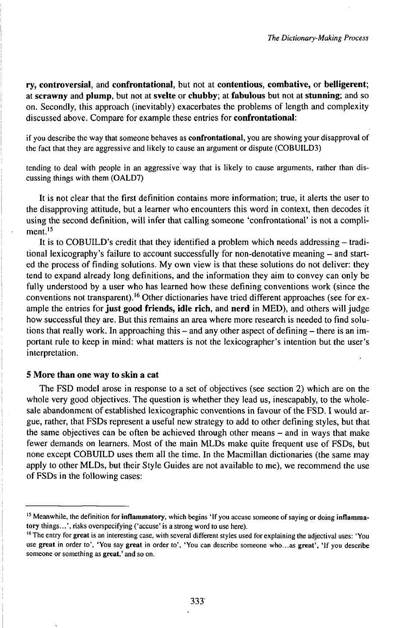**ry, controversial,** and **confrontational,** but not at **contentious, combative,** or **belligerent;** at **scrawny** and **plump,** but not at **svelte** or **chubby;** at **fabulous** but not at **stunning;** and so on. Secondly, this approach (inevitably) exacerbates the problems of length and complexity discussed above. Compare for example these entries for **confrontational:**

if you describe the way that someone behaves as confrontational, you are showing your disapproval of the fact that they are aggressive and likely to cause an argument or dispute (COBUILD3)

tending to deal with people in an aggressive way that is likely to cause arguments, rather than discussing things with them (OALD7)

It is not clear that the first definition contains more information; true, it alerts the user to the disapproving attitude, but a learner who encounters this word in context, then decodes it using the second definition, will infer that calling someone 'confrontational' is not a compliment.<sup>15</sup>

It is to COBUILD's credit that they identified <sup>a</sup> problem which needs addressing - traditional lexicography's failure to account successfully for non-denotative meaning – and started the process of finding solutions. My own view is that these solutions do not deliver: they tend to expand already long definitions, and the information they aim to convey can only be fully understood by a user who has learned how these defining conventions work (since the conventions not transparent).<sup>16</sup> Other dictionaries have tried different approaches (see for example the entries **forjust good friends, idle rich,** and **nerd** in MED), and others willjudge how successful they are. But this remains an area where more research is needed to find solutions that really work. In approaching this – and any other aspect of defining – there is an important rule to keep in mind: what matters is not the lexicographer's intention but the user's interpretation.

# **5 More than one way to skin a cat**

The FSD model arose in response to a set of objectives (see section 2) which are on the whole very good objectives. The question is whether they lead us, inescapably, to the wholesale abandonment of established lexicographic conventions in favour of the FSD. I would argue, rather, that FSDs represent a useful new strategy to add to other defining styles, but that the same objectives can be often be achieved through other means - and in ways that make fewer demands on learners. Most of the main MLDs make quite frequent use of FSDs, but none except COBUILD uses them all the time. In the Macmillan dictionaries (the same may apply to other MLDs, but their Style Guides are not available to me), we recommend the use ofFSDs in the following cases:

<sup>15</sup> Meanwhile, the definition for **inflammatory,** which begins 'If you accuse someone of saying or doing **inflammatory** things...', risks overspecifying ('accuse' is a strong word to use here).

<sup>&</sup>lt;sup>16</sup> The entry for great is an interesting case, with several different styles used for explaining the adjectival uses: 'You use **great** in order to', 'You say **great** in order to', 'You can describe someone who...as **great',** 'If you describe someone or something as **great,'** and so on.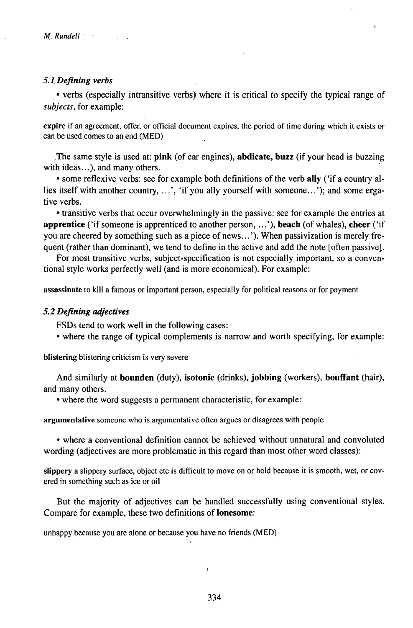## *5.1 Defining verbs*

• verbs (especially intransitive verbs) where it is critical to specify the typical range of *subjects,* for example:

expire if an agreement, offer, or official document expires, the period of time during which it exists or can be used comes to an end (MED)

The same style is used at: **pink** (of car engines), **abdicate, buzz** (if your head is buzzing with ideas...), and many others.

• some reflexive verbs: see for example both definitions of the verb **ally** ('if a country allies itself with another country,  $\dots$ ', 'if you ally yourself with someone...'); and some ergative verbs.

• transitive verbs that occur overwhelmingly in the passive: see for example the entries at **apprentice** ('if someone is apprenticed to another person, ...'), **beach** (of whales), **cheer** ('if you are cheered by something such as a piece of news...'). When passivization is merely frequent (rather than dominant), we tend to define in the active and add the note [often passive].

For most transitive verbs, subject-specification is not especially important, so a conventional style works perfectly well (and is more economical). For example:

assassinate to kill a famous or important person, especially for political reasons or for payment

#### *5.2 Defining adjectives*

FSDs tend to work well in the following cases:

• where the range of typical complements is narrow and worth specifying, for example:

blistering blistering criticism is very severe

And similarly at **bounden** (duty), **isotonic** (drinks), **jobbing** (workers), **bouffant** (hair), and many others.

• where the word suggests a permanent characteristic, for example:

argumentative someone who is argumentative often argues or disagrees with people

• where a conventional definition cannot be achieved without unnatural and convoluted wording (adjectives are more problematic in this regard than most other word classes):

slippery a slippery surface, object etc is difficult to move on or hold because it is smooth, wet, or covered in something such as ice or oil

But the majority of adjectives can be handled successfully using conventional styles. Compare for example, these two definitions of **lonesome:**

unhappy because you are alone or because you have no friends (MED)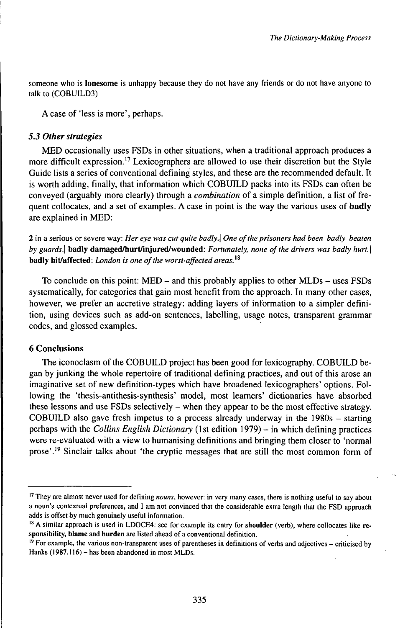someone who is **lonesome** is unhappy because they do not have any friends or do not have anyone to talk to (COBUlLD3)

Acase of 'less is more', perhaps.

# *5.3 Other strategies*

MED occasionally uses FSDs in other situations, when a traditional approach produces a more difficult expression.<sup>17</sup> Lexicographers are allowed to use their discretion but the Style Guide lists a series of conventional defining styles, and these are the recommended default. It is worth adding, finally, that information which COBUILD packs into its FSDs can often be conveyed (arguably more clearly) through a *combination* of a simple definition, a list of frequent collocates, and a set of examples. A case in point is the way the various uses of **badly** are explained in MED:

2 in a serious or severe way: *Her eye was cut quite badly.\ One ofthe prisoners had been badly beaten by* guards. **badly** damaged/hurt/injured/wounded: Fortunately, none of the drivers was badly hurt. **badly hit/affected:** *London is one ofthe worst-affectedareas.iS*

To conclude on this point:  $\text{MED}$  – and this probably applies to other  $\text{MLDs}$  – uses FSDs systematically, for categories that gain most benefit from the approach. In many other cases, however, we prefer an accretive strategy: adding layers of information to a simpler definition, using devices such as add-on sentences, labelling, usage notes, transparent grammar codes, and glossed examples.

# **6 Conclusions**

The iconoclasm of the COBUILD project has been good for lexicography. COBUILD began by junking the whole repertoire of traditional defining practices, and out of this arose an imaginative set of new definition-types which have broadened lexicographers' options. Following the 'thesis-antithesis-synthesis' model, most learners' dictionaries have absorbed these lessons and use FSDs selectively - when they appear to be the most effective strategy. COBUILD also gave fresh impetus to <sup>a</sup> process already underway in the 1980s - starting perhaps with the *Collins English Dictionary* (1st edition 1979) - in which defining practices were re-evaluated with a view to humanising definitions and bringing them closer to 'normal prose'.<sup>19</sup> Sinclair talks about 'the cryptic messages that are still the most common form of

<sup>&</sup>lt;sup>17</sup> They are almost never used for defining *nouns*, however: in very many cases, there is nothing useful to say about a noun's contextual preferences, and I am not convinced that the considerable extra length that the FSD approach adds is offset by much genuinely useful information.

<sup>18</sup> A similar approach is used in LDOCE4: see for example its entry for **shoulder** (verb), where collocates like **responsibility, blame** and **burden** are listed ahead of a conventional definition.

 $19$  For example, the various non-transparent uses of parentheses in definitions of verbs and adjectives – criticised by Hanks (1987.116) - has been abandoned in most MLDs.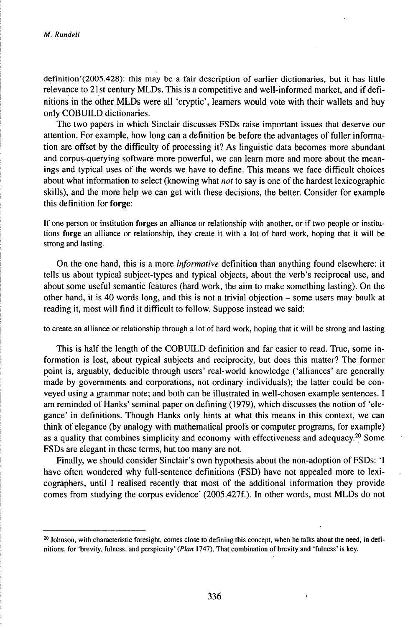definition'(2005.428): this may be a fair description of earlier dictionaries, but it has little relevance to 21st century MLDs. This is a competitive and well-informed market, and if definitions in the other MLDs were all 'cryptic', learners would vote with their wallets and buy only COBUILD dictionaries.

The two papers in which Sinclair discusses FSDs raise important issues that deserve our attention. For example, how long can a definition be before the advantages of fuller information are offset by the difficulty of processing it? As linguistic data becomes more abundant and corpus-querying software more powerful, we can learn more and more about the meanings and typical uses of the words we have to define. This means we face difficult choices about what information to select (knowing what *not* to say is one of the hardest lexicographic skills), and the more help we can get with these decisions, the better. Consider for example this definition for **forge:**

If one person or institution forges an alliance or relationship with another, or if two people or institutions forge an alliance or relationship, they create it with a lot of hard work, hoping that it will be strong and lasting.

On the one hand, this is a more *informative* definition than anything found elsewhere: it tells us about typical subject-types and typical objects, about the verb's reciprocal use, and about some useful semantic features (hard work, the aim to make something lasting). On the other hand, it is <sup>40</sup> words long, and this is not <sup>a</sup> trivial objection - some users may baulk at reading it, most will find it difficult to follow. Suppose instead we said:

to create an alliance or relationship through ą lot of hard work, hoping that it will be strong and lasting

This is half the length of the COBUILD definition and far easier to read. True, some information is lost, about typical subjects and reciprocity, but does this matter? The former point is, arguably, deducible through users' real-world knowledge ('alliances' are generally made by governments and corporations, not ordinary individuals); the latter could be conveyed using a grammar note; and both can be illustrated in well-chosen example sentences. I am reminded of Hanks' seminal paper on defining (1979), which discusses the notion of 'elegance' in definitions. Though Hanks only hints at what this means in this context, we can think of elegance (by analogy with mathematical proofs or computer programs, for example) as a quality that combines simplicity and economy with effectiveness and adequacy.<sup>20</sup> Some FSDs are elegant in these terms, but too many are not.

Finally, we should consider Sinclair's own hypothesis about the non-adoption of FSDs: T have often wondered why full-sentence definitions (FSD) have not appealed more to lexicographers, until I realised recently that most of the additional information they provide comes from studying the corpus evidence' (2005.427f.). In other words, most MLDs do not

 $\overline{\mathbf{A}}$ 

<sup>&</sup>lt;sup>20</sup> Johnson, with characteristic foresight, comes close to defining this concept, when he talks about the need, in definitions, for 'brevity, fulness, and perspicuity' *(Plan* 1747). That combination ofbrevity and 'fulness' is key.